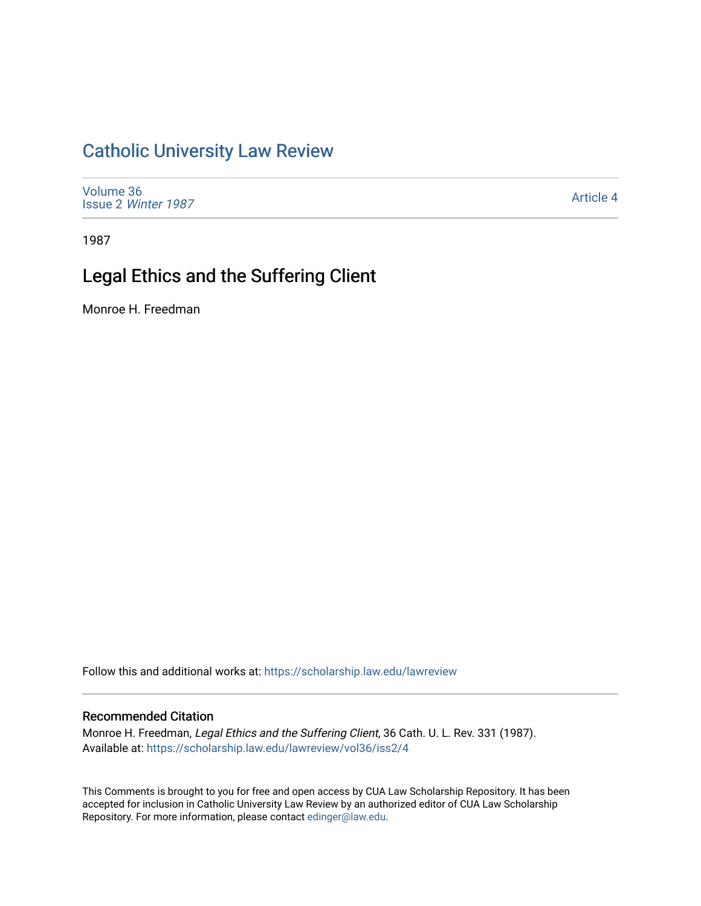## [Catholic University Law Review](https://scholarship.law.edu/lawreview)

[Volume 36](https://scholarship.law.edu/lawreview/vol36) Issue 2 [Winter 1987](https://scholarship.law.edu/lawreview/vol36/iss2) 

[Article 4](https://scholarship.law.edu/lawreview/vol36/iss2/4) 

1987

# Legal Ethics and the Suffering Client

Monroe H. Freedman

Follow this and additional works at: [https://scholarship.law.edu/lawreview](https://scholarship.law.edu/lawreview?utm_source=scholarship.law.edu%2Flawreview%2Fvol36%2Fiss2%2F4&utm_medium=PDF&utm_campaign=PDFCoverPages)

#### Recommended Citation

Monroe H. Freedman, Legal Ethics and the Suffering Client, 36 Cath. U. L. Rev. 331 (1987). Available at: [https://scholarship.law.edu/lawreview/vol36/iss2/4](https://scholarship.law.edu/lawreview/vol36/iss2/4?utm_source=scholarship.law.edu%2Flawreview%2Fvol36%2Fiss2%2F4&utm_medium=PDF&utm_campaign=PDFCoverPages)

This Comments is brought to you for free and open access by CUA Law Scholarship Repository. It has been accepted for inclusion in Catholic University Law Review by an authorized editor of CUA Law Scholarship Repository. For more information, please contact [edinger@law.edu.](mailto:edinger@law.edu)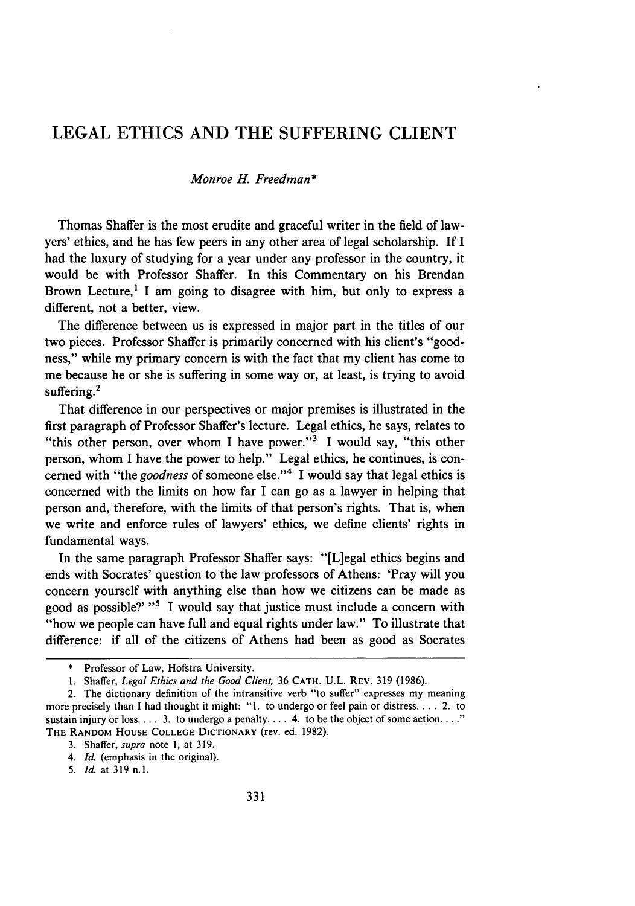### LEGAL ETHICS AND THE SUFFERING CLIENT

#### *Monroe H. Freedman\**

Thomas Shaffer is the most erudite and graceful writer in the field of lawyers' ethics, and he has few peers in any other area of legal scholarship. If I had the luxury of studying for a year under any professor in the country, it would be with Professor Shaffer. In this Commentary on his Brendan Brown Lecture,<sup>1</sup> I am going to disagree with him, but only to express a different, not a better, view.

The difference between us is expressed in major part in the titles of our two pieces. Professor Shaffer is primarily concerned with his client's "goodness," while my primary concern is with the fact that my client has come to me because he or she is suffering in some way or, at least, is trying to avoid suffering.<sup>2</sup>

That difference in our perspectives or major premises is illustrated in the first paragraph of Professor Shaffer's lecture. Legal ethics, he says, relates to "this other person, over whom I have power."<sup>3</sup> I would say, "this other person, whom I have the power to help." Legal ethics, he continues, is concerned with "the *goodness* of someone else."<sup>4</sup> I would say that legal ethics is concerned with the limits on how far I can go as a lawyer in helping that person and, therefore, with the limits of that person's rights. That is, when we write and enforce rules of lawyers' ethics, we define clients' rights in fundamental ways.

In the same paragraph Professor Shaffer says: "[L]egal ethics begins and ends with Socrates' question to the law professors of Athens: 'Pray will you concern yourself with anything else than how we citizens can be made as good as possible?' **"'** I would say that justice must include a concern with "how we people can have full and equal rights under law." To illustrate that difference: if all of the citizens of Athens had been as good as Socrates

<sup>\*</sup> Professor of Law, Hofstra University.

<sup>1.</sup> Shaffer, *Legal Ethics and the Good Client,* 36 **CATH.** U.L. REV. 319 (1986).

<sup>2.</sup> The dictionary definition of the intransitive verb "to suffer" expresses my meaning more precisely than I had thought it might: "1. to undergo or feel pain or distress.... 2. to sustain injury or loss  $\ldots$  3. to undergo a penalty  $\ldots$  4. to be the object of some action.  $\ldots$ ." THE RANDOM HOUSE **COLLEGE** DICTIONARY (rev. ed. 1982).

<sup>3.</sup> Shaffer, *supra* note 1, at 319.

*<sup>4.</sup> Id.* (emphasis in the original).

*<sup>5.</sup> Id.* at 319 **n.1.**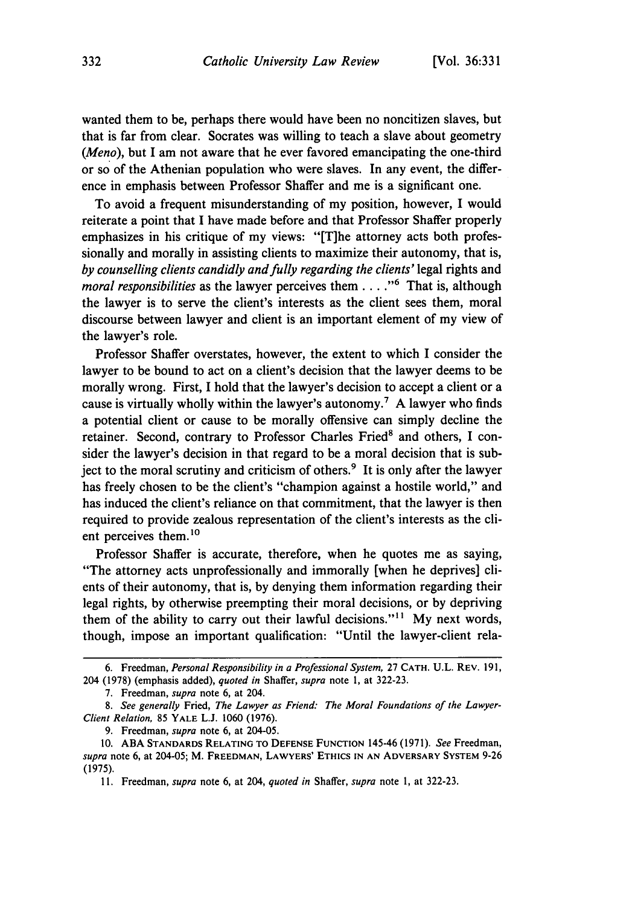wanted them to be, perhaps there would have been no noncitizen slaves, but that is far from clear. Socrates was willing to teach a slave about geometry *(Meno),* but I am not aware that he ever favored emancipating the one-third or so of the Athenian population who were slaves. In any event, the difference in emphasis between Professor Shaffer and me is a significant one.

To avoid a frequent misunderstanding of my position, however, I would reiterate a point that I have made before and that Professor Shaffer properly emphasizes in his critique of my views: "[T]he attorney acts both professionally and morally in assisting clients to maximize their autonomy, that is, *by counselling clients candidly and fully regarding the clients'* legal rights and *moral responsibilities* as the lawyer perceives them . . . . "<sup>6</sup> That is, although the lawyer is to serve the client's interests as the client sees them, moral discourse between lawyer and client is an important element of my view of the lawyer's role.

Professor Shaffer overstates, however, the extent to which I consider the lawyer to be bound to act on a client's decision that the lawyer deems to be morally wrong. First, I hold that the lawyer's decision to accept a client or a cause is virtually wholly within the lawyer's autonomy.<sup>7</sup> A lawyer who finds a potential client or cause to be morally offensive can simply decline the retainer. Second, contrary to Professor Charles Fried' and others, I consider the lawyer's decision in that regard to be a moral decision that is subject to the moral scrutiny and criticism of others.<sup>9</sup> It is only after the lawyer has freely chosen to be the client's "champion against a hostile world," and has induced the client's reliance on that commitment, that the lawyer is then required to provide zealous representation of the client's interests as the client perceives them.<sup>10</sup>

Professor Shaffer is accurate, therefore, when he quotes me as saying, "The attorney acts unprofessionally and immorally [when he deprives] clients of their autonomy, that is, by denying them information regarding their legal rights, by otherwise preempting their moral decisions, or by depriving them of the ability to carry out their lawful decisions."<sup>11</sup> My next words, though, impose an important qualification: "Until the lawyer-client rela-

<sup>6.</sup> Freedman, *Personal Responsibility in a Professional System,* 27 **CATH.** U.L. REV. **19 1,** 204 (1978) (emphasis added), *quoted in* Shaffer, *supra* note 1, at 322-23.

<sup>7.</sup> Freedman, *supra* note 6, at 204.

*<sup>8.</sup> See generally* Fried, *The Lawyer as Friend: The Moral Foundations of the Lawyer-Client Relation,* 85 YALE L.J. 1060 (1976).

<sup>9.</sup> Freedman, *supra* note 6, at 204-05.

<sup>10.</sup> ABA STANDARDS **RELATING** TO **DEFENSE FUNCTION** 145-46 (1971). *See* Freedman, *supra* note 6, at 204-05; M. FREEDMAN, LAWYERS' **ETHICS IN AN** ADVERSARY SYSTEM 9-26 (1975).

<sup>11.</sup> Freedman, *supra* note 6, at 204, *quoted in* Shaffer, *supra* note **1,** at 322-23.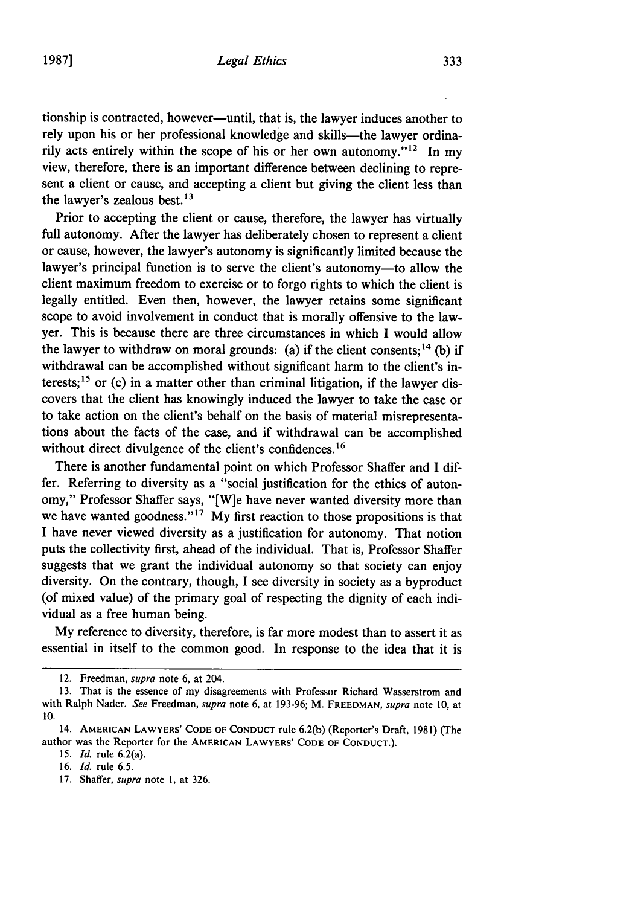tionship is contracted, however-until, that is, the lawyer induces another to rely upon his or her professional knowledge and skills---the lawyer ordinarily acts entirely within the scope of his or her own autonomy."<sup>12</sup> In my view, therefore, there is an important difference between declining to represent a client or cause, and accepting a client but giving the client less than the lawyer's zealous best.<sup>13</sup>

Prior to accepting the client or cause, therefore, the lawyer has virtually full autonomy. After the lawyer has deliberately chosen to represent a client or cause, however, the lawyer's autonomy is significantly limited because the lawyer's principal function is to serve the client's autonomy-to allow the client maximum freedom to exercise or to forgo rights to which the client is legally entitled. Even then, however, the lawyer retains some significant scope to avoid involvement in conduct that is morally offensive to the lawyer. This is because there are three circumstances in which I would allow the lawyer to withdraw on moral grounds: (a) if the client consents;  $^{14}$  (b) if withdrawal can be accomplished without significant harm to the client's interests;<sup>15</sup> or (c) in a matter other than criminal litigation, if the lawyer discovers that the client has knowingly induced the lawyer to take the case or to take action on the client's behalf on the basis of material misrepresentations about the facts of the case, and if withdrawal can be accomplished without direct divulgence of the client's confidences.<sup>16</sup>

There is another fundamental point on which Professor Shaffer and I differ. Referring to diversity as a "social justification for the ethics of autonomy," Professor Shaffer says, "[W]e have never wanted diversity more than we have wanted goodness."<sup>17</sup> My first reaction to those propositions is that I have never viewed diversity as a justification for autonomy. That notion puts the collectivity first, ahead of the individual. That is, Professor Shaffer suggests that we grant the individual autonomy so that society can enjoy diversity. On the contrary, though, I see diversity in society as a byproduct (of mixed value) of the primary goal of respecting the dignity of each individual as a free human being.

My reference to diversity, therefore, is far more modest than to assert it as essential in itself to the common good. In response to the idea that it is

15. *Id.* rule 6.2(a).

16. *Id.* rule 6.5.

17. Shaffer, *supra* note **1,** at 326.

<sup>12.</sup> Freedman, *supra* note 6, at 204.

<sup>13.</sup> That is the essence of my disagreements with Professor Richard Wasserstrom and with Ralph Nader. *See* Freedman, *supra* note 6, at 193-96; M. FREEDMAN, *supra* note 10, at 10.

<sup>14.</sup> **AMERICAN** LAWYERS' **CODE** OF **CONDUCT** rule 6.2(b) (Reporter's Draft, **1981)** (The author was the Reporter for the **AMERICAN** LAWYERS' **CODE** OF **CONDUCT.).**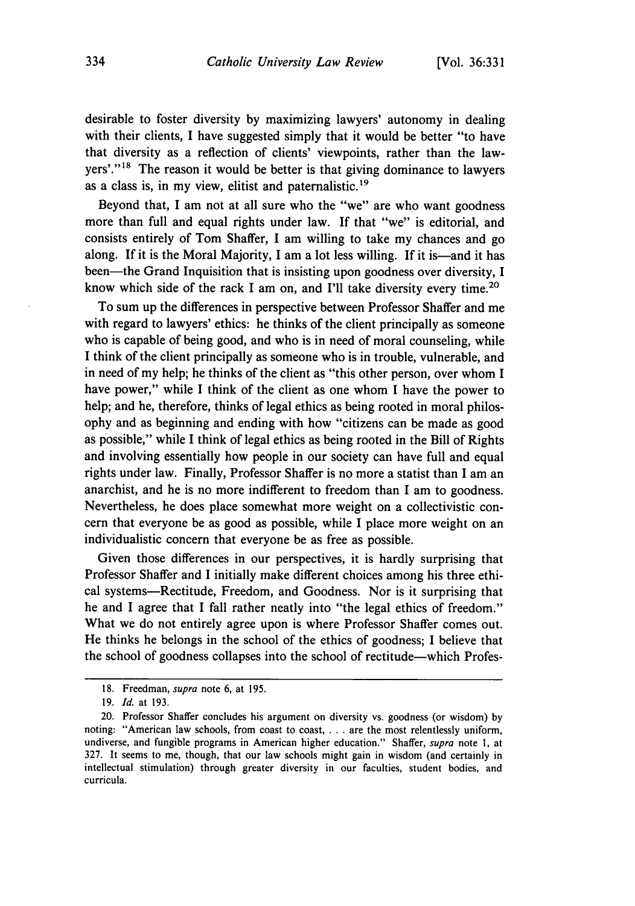desirable to foster diversity **by** maximizing lawyers' autonomy in dealing with their clients, I have suggested simply that it would be better "to have that diversity as a reflection of clients' viewpoints, rather than the lawyers'."<sup>18</sup> The reason it would be better is that giving dominance to lawyers as a class is, in my view, elitist and paternalistic.<sup>19</sup>

Beyond that, I am not at all sure who the "we" are who want goodness more than full and equal rights under law. If that "we" is editorial, and consists entirely of Tom Shaffer, I am willing to take my chances and go along. If it is the Moral Majority, I am a lot less willing. If it is—and it has been-the Grand Inquisition that is insisting upon goodness over diversity, I know which side of the rack I am on, and I'll take diversity every time.<sup>20</sup>

To sum up the differences in perspective between Professor Shaffer and me with regard to lawyers' ethics: he thinks of the client principally as someone who is capable of being good, and who is in need of moral counseling, while I think of the client principally as someone who is in trouble, vulnerable, and in need of my help; he thinks of the client as "this other person, over whom I have power," while I think of the client as one whom I have the power to help; and he, therefore, thinks of legal ethics as being rooted in moral philosophy and as beginning and ending with how "citizens can be made as good as possible," while I think of legal ethics as being rooted in the Bill of Rights and involving essentially how people in our society can have full and equal rights under law. Finally, Professor Shaffer is no more a statist than I am an anarchist, and he is no more indifferent to freedom than I am to goodness. Nevertheless, he does place somewhat more weight on a collectivistic concern that everyone be as good as possible, while I place more weight on an individualistic concern that everyone be as free as possible.

Given those differences in our perspectives, it is hardly surprising that Professor Shaffer and I initially make different choices among his three ethical systems-Rectitude, Freedom, and Goodness. Nor is it surprising that he and I agree that I fall rather neatly into "the legal ethics of freedom." What we do not entirely agree upon is where Professor Shaffer comes out. He thinks he belongs in the school of the ethics of goodness; I believe that the school of goodness collapses into the school of rectitude-which Profes-

<sup>18.</sup> Freedman, *supra* note 6, at 195.

**<sup>19.</sup>** *Id.* at 193.

<sup>20.</sup> Professor Shaffer concludes his argument on diversity vs. goodness (or wisdom) by noting: "American law schools, from coast to coast, . . . are the most relentlessly uniform, undiverse, and fungible programs in American higher education." Shaffer, *supra* note **1,** at 327. It seems to me, though, that our law schools might gain in wisdom (and certainly in intellectual stimulation) through greater diversity in our faculties, student bodies, and curricula.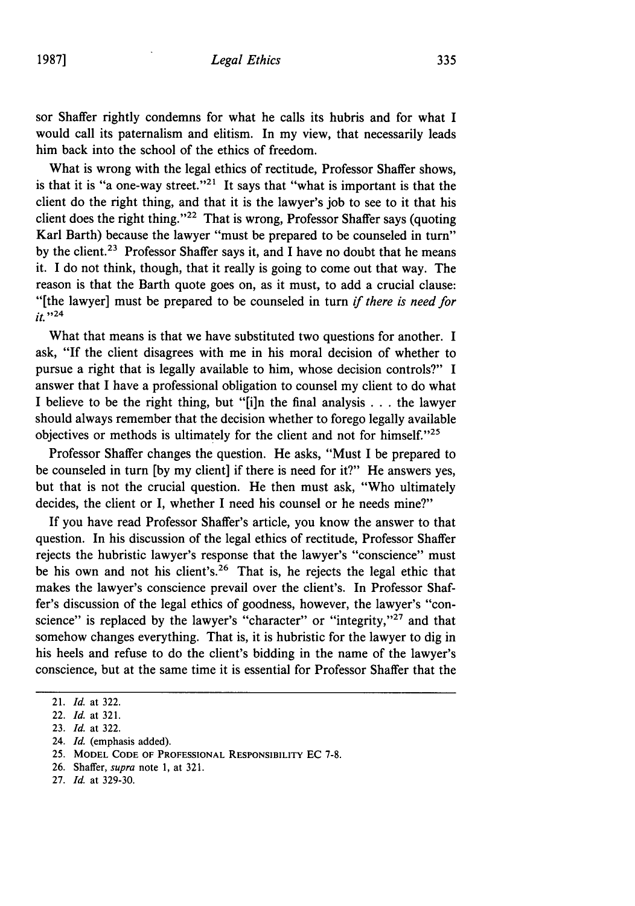sor Shaffer rightly condemns for what he calls its hubris and for what I would call its paternalism and elitism. In my view, that necessarily leads him back into the school of the ethics of freedom.

What is wrong with the legal ethics of rectitude, Professor Shaffer shows, is that it is "a one-way street."<sup>21</sup> It says that "what is important is that the client do the right thing, and that it is the lawyer's job to see to it that his client does the right thing."<sup>22</sup> That is wrong, Professor Shaffer says (quoting Karl Barth) because the lawyer "must be prepared to be counseled in turn" by the client.<sup>23</sup> Professor Shaffer says it, and I have no doubt that he means it. I do not think, though, that it really is going to come out that way. The reason is that the Barth quote goes on, as it must, to add a crucial clause: "[the lawyer] must be prepared to be counseled in turn *if there is need for*  $it.$ "<sup>24</sup>

What that means is that we have substituted two questions for another. I ask, "If the client disagrees with me in his moral decision of whether to pursue a right that is legally available to him, whose decision controls?" I answer that I have a professional obligation to counsel my client to do what I believe to be the right thing, but "[i]n the final analysis ...the lawyer should always remember that the decision whether to forego legally available objectives or methods is ultimately for the client and not for himself. $125$ 

Professor Shaffer changes the question. He asks, "Must I be prepared to be counseled in turn **[by** my client] if there is need for it?" He answers yes, but that is not the crucial question. He then must ask, "Who ultimately decides, the client or I, whether I need his counsel or he needs mine?"

If you have read Professor Shaffer's article, you know the answer to that question. In his discussion of the legal ethics of rectitude, Professor Shaffer rejects the hubristic lawyer's response that the lawyer's "conscience" must be his own and not his client's.<sup>26</sup> That is, he rejects the legal ethic that makes the lawyer's conscience prevail over the client's. In Professor Shaffer's discussion of the legal ethics of goodness, however, the lawyer's "conscience" is replaced by the lawyer's "character" or "integrity,"<sup>27</sup> and that somehow changes everything. That is, it is hubristic for the lawyer to dig in his heels and refuse to do the client's bidding in the name of the lawyer's conscience, but at the same time it is essential for Professor Shaffer that the

- 24. *Id.* (emphasis added).
- 25. MODEL **CODE** OF **PROFESSIONAL** RESPONSIBILITY EC 7-8.
- 26. Shaffer, *supra* note 1, at 321.
- 27. *Id.* at 329-30.

<sup>21.</sup> *Id.* at 322.

<sup>22.</sup> *Id.* at 321.

<sup>23.</sup> *Id.* at 322.